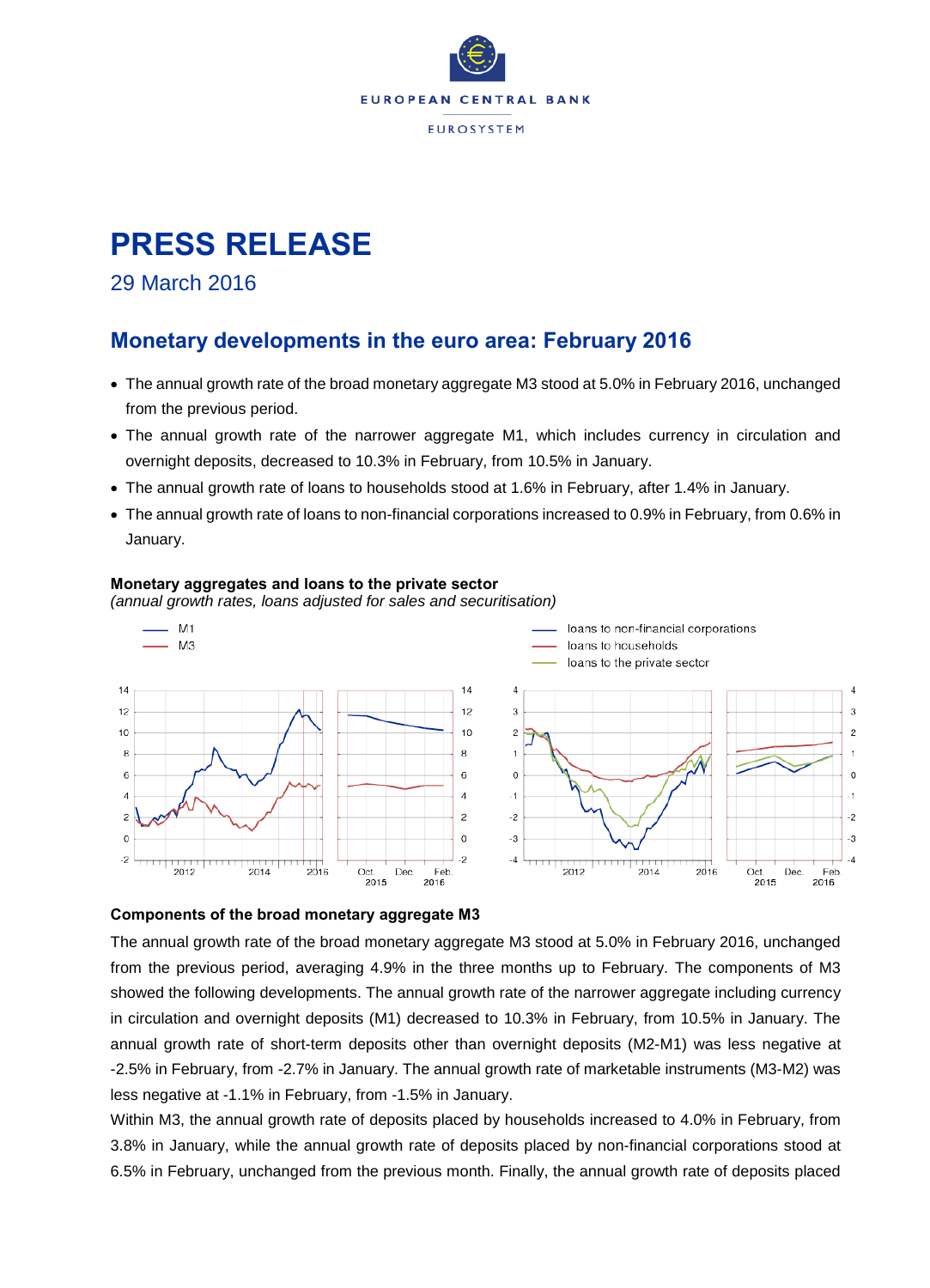

# **PRESS RELEASE**

## 29 March 2016

## **Monetary developments in the euro area: February 2016**

- The annual growth rate of the broad monetary aggregate M3 stood at 5.0% in February 2016, unchanged from the previous period.
- The annual growth rate of the narrower aggregate M1, which includes currency in circulation and overnight deposits, decreased to 10.3% in February, from 10.5% in January.
- The annual growth rate of loans to households stood at 1.6% in February, after 1.4% in January.
- The annual growth rate of loans to non-financial corporations increased to 0.9% in February, from 0.6% in January.

#### $M<sub>1</sub>$ loans to non-financial corporations  $M<sub>3</sub>$ loans to households loans to the private sector  $14$  $14$  $\Delta$  $\Delta$  $12$  $12$  $\overline{a}$ 3  $10$  $10$  $\mathcal{L}$  $\mathfrak{D}$ 8 8  $\overline{1}$ 6 6  $\Omega$  $\Omega$  $\overline{4}$  $\overline{a}$  $-1$  $\overline{c}$  $\overline{2}$ ź  $-2$  $\circ$  $\mathcal{C}$  $-3$ Ą  $-2$  $-2$  $\overline{4}$  $-4$ 2012 2014  $2016$ Dec Feb 2012 2014 2016  $Oct$ Dec Feb Oct  $2016$  $2016$  $2015$ 2015

#### **Monetary aggregates and loans to the private sector**

*(annual growth rates, loans adjusted for sales and securitisation)*

### **Components of the broad monetary aggregate M3**

The annual growth rate of the broad monetary aggregate M3 stood at 5.0% in February 2016, unchanged from the previous period, averaging 4.9% in the three months up to February. The components of M3 showed the following developments. The annual growth rate of the narrower aggregate including currency in circulation and overnight deposits (M1) decreased to 10.3% in February, from 10.5% in January. The annual growth rate of short-term deposits other than overnight deposits (M2-M1) was less negative at -2.5% in February, from -2.7% in January. The annual growth rate of marketable instruments (M3-M2) was less negative at -1.1% in February, from -1.5% in January.

Within M3, the annual growth rate of deposits placed by households increased to 4.0% in February, from 3.8% in January, while the annual growth rate of deposits placed by non-financial corporations stood at 6.5% in February, unchanged from the previous month. Finally, the annual growth rate of deposits placed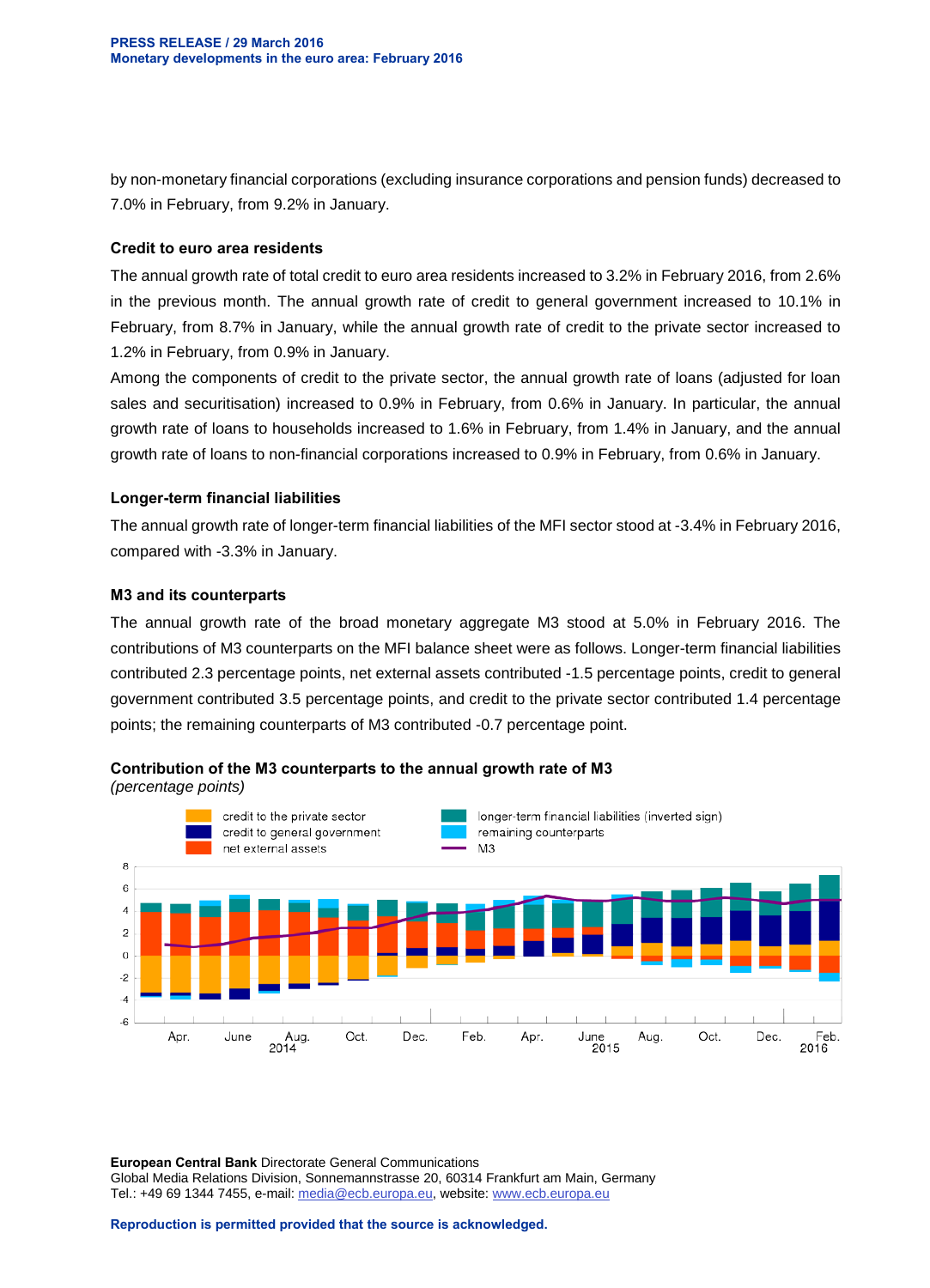by non-monetary financial corporations (excluding insurance corporations and pension funds) decreased to 7.0% in February, from 9.2% in January.

#### **Credit to euro area residents**

The annual growth rate of total credit to euro area residents increased to 3.2% in February 2016, from 2.6% in the previous month. The annual growth rate of credit to general government increased to 10.1% in February, from 8.7% in January, while the annual growth rate of credit to the private sector increased to 1.2% in February, from 0.9% in January.

Among the components of credit to the private sector, the annual growth rate of loans (adjusted for loan sales and securitisation) increased to 0.9% in February, from 0.6% in January. In particular, the annual growth rate of loans to households increased to 1.6% in February, from 1.4% in January, and the annual growth rate of loans to non-financial corporations increased to 0.9% in February, from 0.6% in January.

#### **Longer-term financial liabilities**

The annual growth rate of longer-term financial liabilities of the MFI sector stood at -3.4% in February 2016, compared with -3.3% in January.

#### **M3 and its counterparts**

The annual growth rate of the broad monetary aggregate M3 stood at 5.0% in February 2016. The contributions of M3 counterparts on the MFI balance sheet were as follows. Longer-term financial liabilities contributed 2.3 percentage points, net external assets contributed -1.5 percentage points, credit to general government contributed 3.5 percentage points, and credit to the private sector contributed 1.4 percentage points; the remaining counterparts of M3 contributed -0.7 percentage point.



**Contribution of the M3 counterparts to the annual growth rate of M3** *(percentage points)*

**European Central Bank** Directorate General Communications Global Media Relations Division, Sonnemannstrasse 20, 60314 Frankfurt am Main, Germany Tel.: +49 69 1344 7455, e-mail: [media@ecb.europa.eu,](mailto:media@ecb.europa.eu) website[: www.ecb.europa.eu](http://www.ecb.europa.eu/)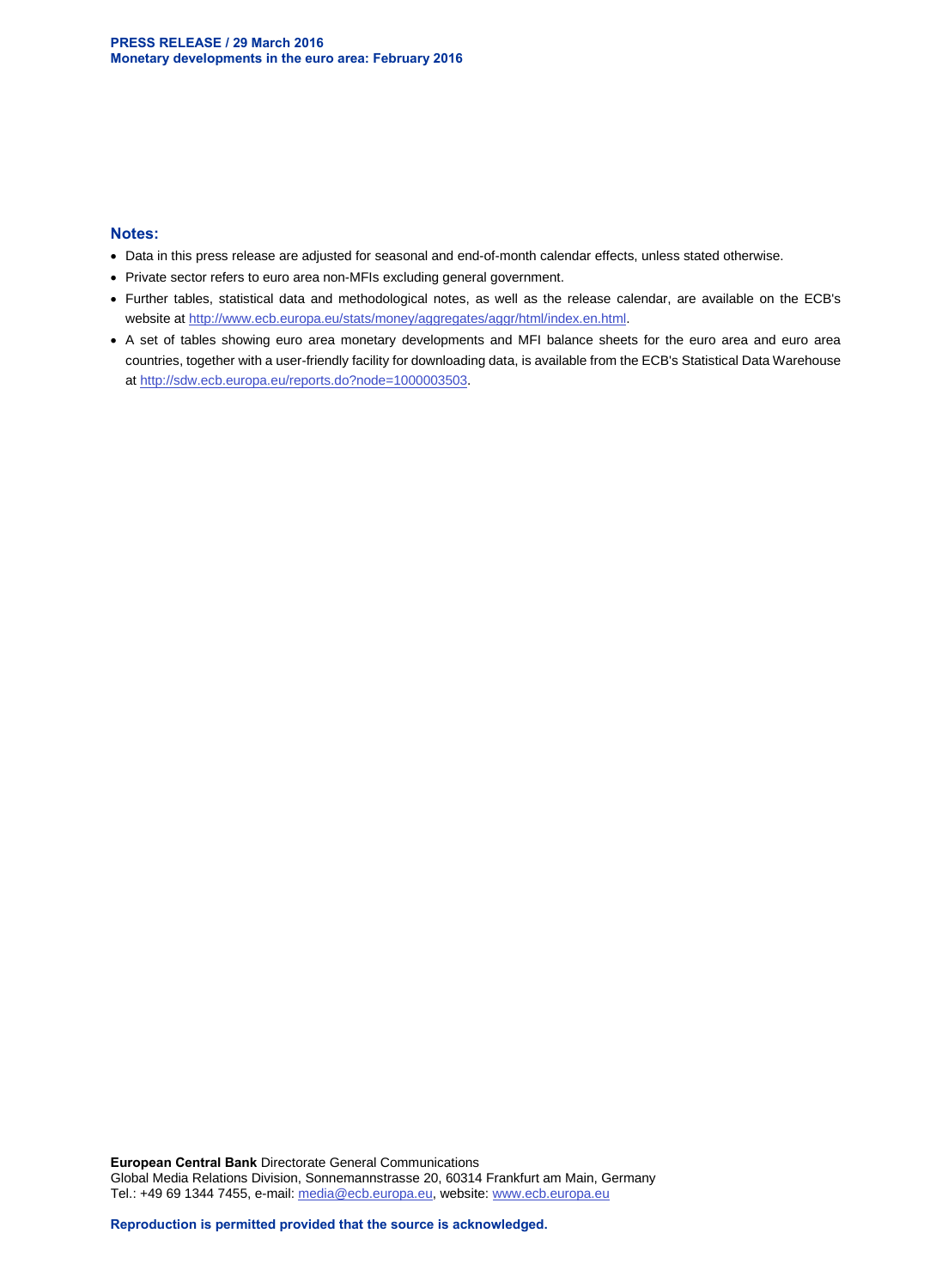#### **Notes:**

- Data in this press release are adjusted for seasonal and end-of-month calendar effects, unless stated otherwise.
- Private sector refers to euro area non-MFIs excluding general government.
- Further tables, statistical data and methodological notes, as well as the release calendar, are available on the ECB's website at [http://www.ecb.europa.eu/stats/money/aggregates/aggr/html/index.en.html.](http://www.ecb.europa.eu/stats/money/aggregates/aggr/html/index.en.html)
- A set of tables showing euro area monetary developments and MFI balance sheets for the euro area and euro area countries, together with a user-friendly facility for downloading data, is available from the ECB's Statistical Data Warehouse at [http://sdw.ecb.europa.eu/reports.do?node=1000003503.](http://sdw.ecb.europa.eu/reports.do?node=1000003503)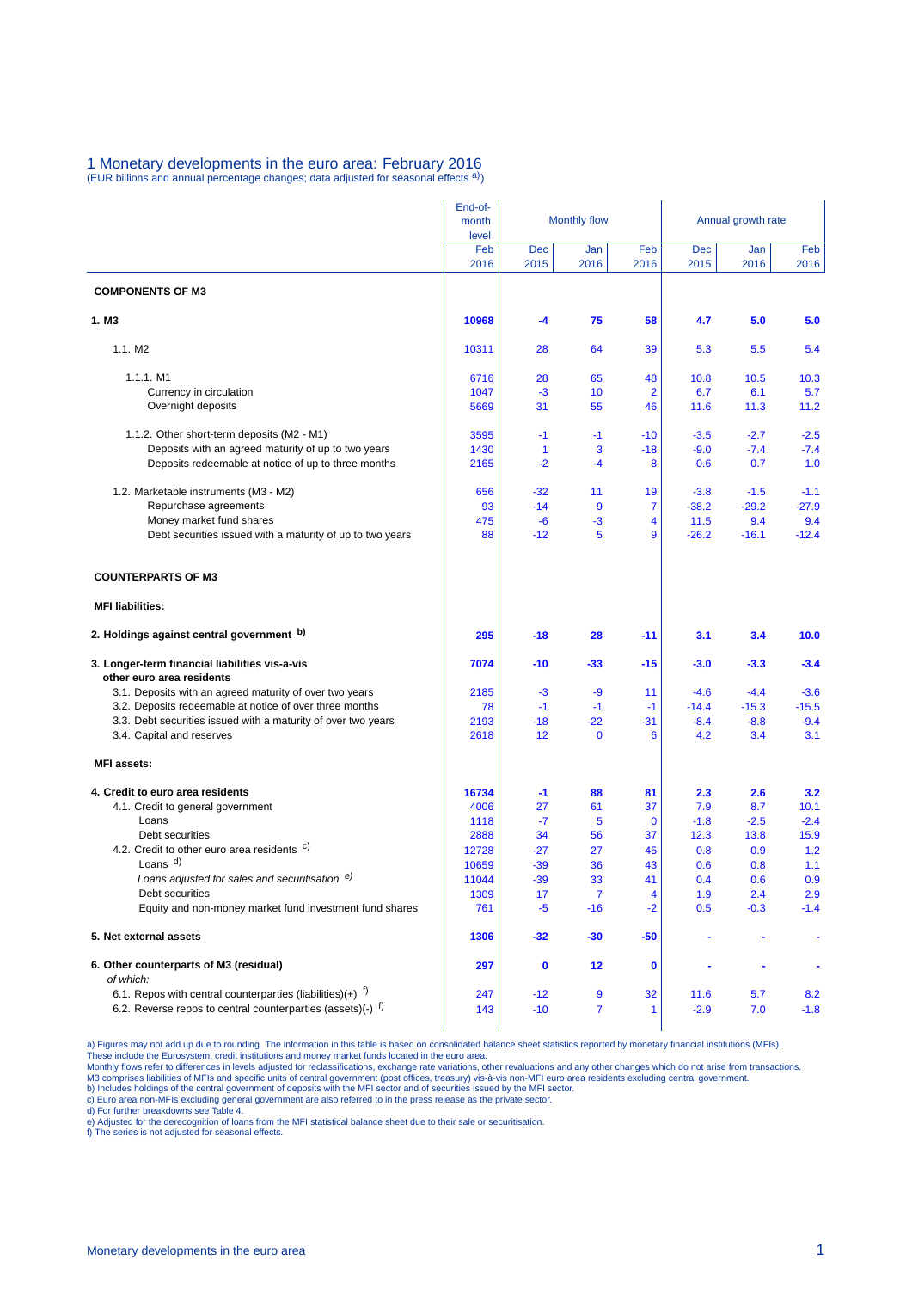## 1 Monetary developments in the euro area: February 2016<br>(EUR billions and annual percentage changes; data adjusted for seasonal effects <sup>a)</sup>)

|                                                                                       | End-of-<br>month<br>level | <b>Monthly flow</b> |                |                | Annual growth rate |                |                |  |
|---------------------------------------------------------------------------------------|---------------------------|---------------------|----------------|----------------|--------------------|----------------|----------------|--|
|                                                                                       | Feb<br>2016               | <b>Dec</b><br>2015  | Jan<br>2016    | Feb<br>2016    | <b>Dec</b><br>2015 | Jan<br>2016    | Feb<br>2016    |  |
| <b>COMPONENTS OF M3</b>                                                               |                           |                     |                |                |                    |                |                |  |
| 1. M3                                                                                 | 10968                     | -4                  | 75             | 58             | 4.7                | 5.0            | 5.0            |  |
| 1.1. M2                                                                               | 10311                     | 28                  | 64             | 39             | 5.3                | 5.5            | 5.4            |  |
| 1.1.1. M1                                                                             | 6716                      | 28                  | 65             | 48             | 10.8               | 10.5           | 10.3           |  |
| Currency in circulation                                                               | 1047                      | -3                  | 10             | $\overline{2}$ | 6.7                | 6.1            | 5.7            |  |
| Overnight deposits                                                                    | 5669                      | 31                  | 55             | 46             | 11.6               | 11.3           | 11.2           |  |
| 1.1.2. Other short-term deposits (M2 - M1)                                            | 3595                      | $-1$                | $-1$           | $-10$          | $-3.5$             | $-2.7$         | $-2.5$         |  |
| Deposits with an agreed maturity of up to two years                                   | 1430                      | $\mathbf{1}$        | 3              | $-18$          | $-9.0$             | $-7.4$         | $-7.4$         |  |
| Deposits redeemable at notice of up to three months                                   | 2165                      | $-2$                | $-4$           | 8              | 0.6                | 0.7            | 1.0            |  |
| 1.2. Marketable instruments (M3 - M2)                                                 | 656                       | $-32$               | 11             | 19             | $-3.8$             | $-1.5$         | $-1.1$         |  |
| Repurchase agreements                                                                 | 93                        | $-14$               | 9              | 7              | $-38.2$            | $-29.2$        | $-27.9$        |  |
| Money market fund shares<br>Debt securities issued with a maturity of up to two years | 475<br>88                 | -6<br>$-12$         | $-3$<br>5      | 4<br>9         | 11.5<br>$-26.2$    | 9.4<br>$-16.1$ | 9.4<br>$-12.4$ |  |
| <b>COUNTERPARTS OF M3</b>                                                             |                           |                     |                |                |                    |                |                |  |
| <b>MFI liabilities:</b>                                                               |                           |                     |                |                |                    |                |                |  |
| 2. Holdings against central government b)                                             | 295                       | $-18$               | 28             | $-11$          | 3.1                | 3.4            | 10.0           |  |
| 3. Longer-term financial liabilities vis-a-vis<br>other euro area residents           | 7074                      | $-10$               | $-33$          | $-15$          | $-3.0$             | $-3.3$         | $-3.4$         |  |
| 3.1. Deposits with an agreed maturity of over two years                               | 2185                      | -3                  | -9             | 11             | $-4.6$             | $-4.4$         | $-3.6$         |  |
| 3.2. Deposits redeemable at notice of over three months                               | 78                        | $-1$                | $-1$           | $-1$           | $-14.4$            | $-15.3$        | $-15.5$        |  |
| 3.3. Debt securities issued with a maturity of over two years                         | 2193                      | $-18$               | $-22$          | -31            | $-8.4$             | $-8.8$         | $-9.4$         |  |
| 3.4. Capital and reserves                                                             | 2618                      | 12                  | $\mathbf 0$    | 6              | 4.2                | 3.4            | 3.1            |  |
| <b>MFI</b> assets:                                                                    |                           |                     |                |                |                    |                |                |  |
| 4. Credit to euro area residents                                                      | 16734                     | -1                  | 88             | 81             | 2.3                | 2.6            | 3.2            |  |
| 4.1. Credit to general government                                                     | 4006                      | 27                  | 61             | 37             | 7.9                | 8.7            | 10.1           |  |
| Loans                                                                                 | 1118                      | $-7$                | 5              | $\mathbf 0$    | $-1.8$             | $-2.5$         | $-2.4$         |  |
| Debt securities<br>4.2. Credit to other euro area residents <sup>c)</sup>             | 2888                      | 34                  | 56<br>27       | 37<br>45       | 12.3               | 13.8<br>0.9    | 15.9<br>1.2    |  |
| Loans <sup>d)</sup>                                                                   | 12728<br>10659            | -27<br>$-39$        | 36             | 43             | 0.8<br>0.6         | 0.8            | 1.1            |  |
| Loans adjusted for sales and securitisation e)                                        | 11044                     | $-39$               | 33             | 41             | 0.4                | 0.6            | 0.9            |  |
| Debt securities                                                                       | 1309                      | 17                  | $\overline{7}$ | 4              | 1.9                | 2.4            | 2.9            |  |
| Equity and non-money market fund investment fund shares                               | 761                       | -5                  | $-16$          | $-2$           | 0.5                | $-0.3$         | $-1.4$         |  |
| 5. Net external assets                                                                | 1306                      | $-32$               | $-30$          | $-50$          |                    |                | ٠              |  |
| 6. Other counterparts of M3 (residual)<br>of which:                                   | 297                       | 0                   | 12             | 0              |                    | ٠              | ٠              |  |
| 6.1. Repos with central counterparties (liabilities) $(+)$ f)                         | 247                       | $-12$               | 9              | 32             | 11.6               | 5.7            | 8.2            |  |
| 6.2. Reverse repos to central counterparties (assets)(-) $f$ )                        | 143                       | $-10$               | 7              | 1              | $-2.9$             | 7.0            | $-1.8$         |  |

a) Figures may not add up due to rounding. The information in this table is based on consolidated balance sheet statistics reported by monetary financial institutions (MFIs).<br>These include the Eurosystem, credit institutio

e) Adjusted for the derecognition of loans from the MFI statistical balance sheet due to their sale or securitisation. f) The series is not adjusted for seasonal effects.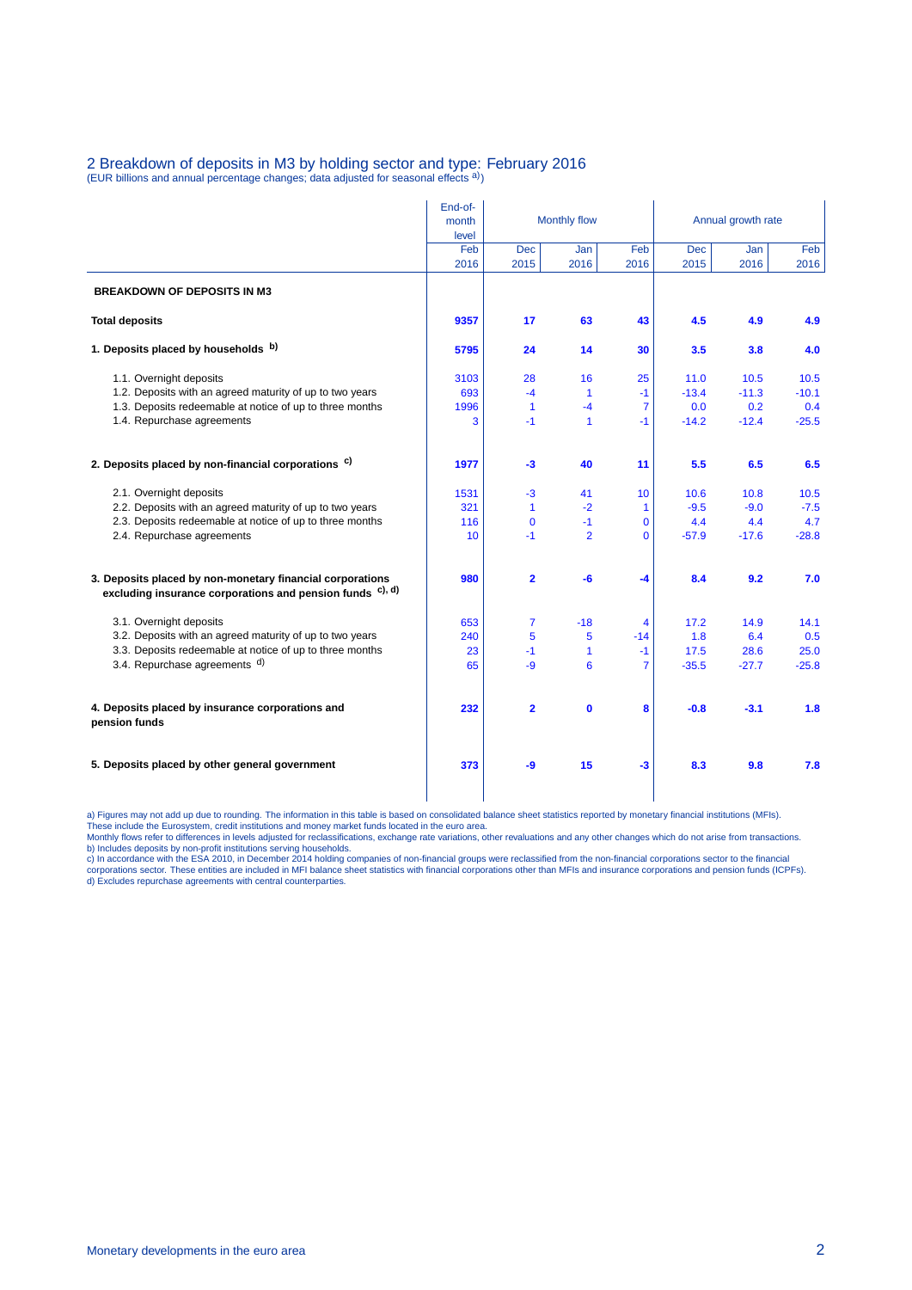## 2 Breakdown of deposits in M3 by holding sector and type: February 2016<br>(EUR billions and annual percentage changes; data adjusted for seasonal effects <sup>a)</sup>)

|                                                                                                                        | End-of-<br>month<br>level | <b>Monthly flow</b> |                      |                | Annual growth rate |             |             |  |
|------------------------------------------------------------------------------------------------------------------------|---------------------------|---------------------|----------------------|----------------|--------------------|-------------|-------------|--|
|                                                                                                                        | Feb<br>2016               | <b>Dec</b><br>2015  | Jan<br>2016          | Feb<br>2016    | <b>Dec</b><br>2015 | Jan<br>2016 | Feb<br>2016 |  |
| <b>BREAKDOWN OF DEPOSITS IN M3</b>                                                                                     |                           |                     |                      |                |                    |             |             |  |
| <b>Total deposits</b>                                                                                                  | 9357                      | 17                  | 63                   | 43             | 4.5                | 4.9         | 4.9         |  |
| 1. Deposits placed by households b)                                                                                    | 5795                      | 24                  | 14                   | 30             | 3.5                | 3.8         | 4.0         |  |
| 1.1. Overnight deposits                                                                                                | 3103                      | 28                  | 16                   | 25             | 11.0               | 10.5        | 10.5        |  |
| 1.2. Deposits with an agreed maturity of up to two years                                                               | 693                       | $-4$                | $\blacktriangleleft$ | $-1$           | $-13.4$            | $-11.3$     | $-10.1$     |  |
| 1.3. Deposits redeemable at notice of up to three months                                                               | 1996                      | $\mathbf{1}$        | $-4$                 | $\overline{7}$ | 0.0                | 0.2         | 0.4         |  |
| 1.4. Repurchase agreements                                                                                             | 3                         | $-1$                | $\overline{1}$       | $-1$           | $-14.2$            | $-12.4$     | $-25.5$     |  |
| 2. Deposits placed by non-financial corporations <sup>c)</sup>                                                         | 1977                      | -3                  | 40                   | 11             | 5.5                | 6.5         | 6.5         |  |
| 2.1. Overnight deposits                                                                                                | 1531                      | $-3$                | 41                   | 10             | 10.6               | 10.8        | 10.5        |  |
| 2.2. Deposits with an agreed maturity of up to two years                                                               | 321                       | $\mathbf{1}$        | $-2$                 | 1              | $-9.5$             | $-9.0$      | $-7.5$      |  |
| 2.3. Deposits redeemable at notice of up to three months                                                               | 116                       | $\Omega$            | $-1$                 | $\overline{0}$ | 4.4                | 4.4         | 4.7         |  |
| 2.4. Repurchase agreements                                                                                             | 10                        | $-1$                | $\overline{2}$       | 0              | $-57.9$            | $-17.6$     | $-28.8$     |  |
| 3. Deposits placed by non-monetary financial corporations<br>excluding insurance corporations and pension funds c), d) | 980                       | $\overline{2}$      | -6                   | $-4$           | 8.4                | 9.2         | 7.0         |  |
| 3.1. Overnight deposits                                                                                                | 653                       | $\overline{7}$      | $-18$                | 4              | 17.2               | 14.9        | 14.1        |  |
| 3.2. Deposits with an agreed maturity of up to two years                                                               | 240                       | 5                   | 5                    | $-14$          | 1.8                | 6.4         | 0.5         |  |
| 3.3. Deposits redeemable at notice of up to three months                                                               | 23                        | $-1$                | $\mathbf{1}$         | $-1$           | 17.5               | 28.6        | 25.0        |  |
| 3.4. Repurchase agreements d)                                                                                          | 65                        | -9                  | 6                    | $\overline{7}$ | $-35.5$            | $-27.7$     | $-25.8$     |  |
| 4. Deposits placed by insurance corporations and<br>pension funds                                                      | 232                       | $\overline{2}$      | $\mathbf 0$          | 8              | $-0.8$             | $-3.1$      | 1.8         |  |
| 5. Deposits placed by other general government                                                                         | 373                       | -9                  | 15                   | $-3$           | 8.3                | 9.8         | 7.8         |  |

a) Figures may not add up due to rounding. The information in this table is based on consolidated balance sheet statistics reported by monetary financial institutions (MFIs).<br>These include the Eurosystem, credit institutio d) Excludes repurchase agreements with central counterparties.